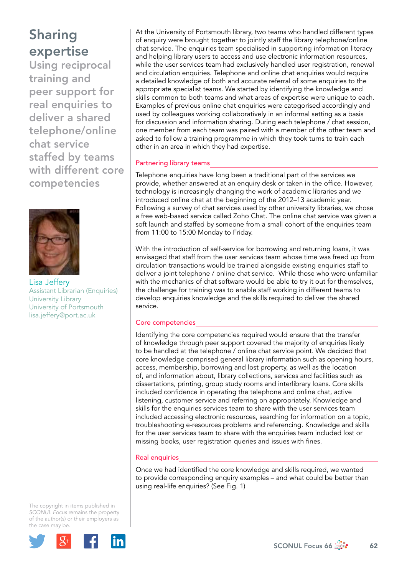Using reciprocal training and peer support for real enquiries to deliver a shared telephone/online chat service staffed by teams with different core competencies



Lisa Jeffery Assistant Librarian (Enquiries) University Library University of Portsmouth [lisa.jeffery@port.ac.uk](mailto:lisa.jeffery@port.ac.uk)

The copyright in items published in *SCONUL Focus* remains the property of the author(s) or their employers as the case may be.



At the University of Portsmouth library, two teams who handled different types of enquiry were brought together to jointly staff the library telephone/online chat service. The enquiries team specialised in supporting information literacy and helping library users to access and use electronic information resources, while the user services team had exclusively handled user registration, renewal and circulation enquiries. Telephone and online chat enquiries would require a detailed knowledge of both and accurate referral of some enquiries to the appropriate specialist teams. We started by identifying the knowledge and skills common to both teams and what areas of expertise were unique to each. Examples of previous online chat enquiries were categorised accordingly and used by colleagues working collaboratively in an informal setting as a basis for discussion and information sharing. During each telephone / chat session, one member from each team was paired with a member of the other team and asked to follow a training programme in which they took turns to train each other in an area in which they had expertise.

### Partnering library teams

Telephone enquiries have long been a traditional part of the services we provide, whether answered at an enquiry desk or taken in the office. However, technology is increasingly changing the work of academic libraries and we introduced online chat at the beginning of the 2012–13 academic year. Following a survey of chat services used by other university libraries, we chose a free web-based service called Zoho Chat. The online chat service was given a soft launch and staffed by someone from a small cohort of the enquiries team from 11:00 to 15:00 Monday to Friday.

With the introduction of self-service for borrowing and returning loans, it was envisaged that staff from the user services team whose time was freed up from circulation transactions would be trained alongside existing enquiries staff to deliver a joint telephone / online chat service. While those who were unfamiliar with the mechanics of chat software would be able to try it out for themselves, the challenge for training was to enable staff working in different teams to develop enquiries knowledge and the skills required to deliver the shared service.

## Core competencies

Identifying the core competencies required would ensure that the transfer of knowledge through peer support covered the majority of enquiries likely to be handled at the telephone / online chat service point. We decided that core knowledge comprised general library information such as opening hours, access, membership, borrowing and lost property, as well as the location of, and information about, library collections, services and facilities such as dissertations, printing, group study rooms and interlibrary loans. Core skills included confidence in operating the telephone and online chat, active listening, customer service and referring on appropriately. Knowledge and skills for the enquiries services team to share with the user services team included accessing electronic resources, searching for information on a topic, troubleshooting e-resources problems and referencing. Knowledge and skills for the user services team to share with the enquiries team included lost or missing books, user registration queries and issues with fines.

### Real enquiries

Once we had identified the core knowledge and skills required, we wanted to provide corresponding enquiry examples – and what could be better than using real-life enquiries? (See Fig. 1)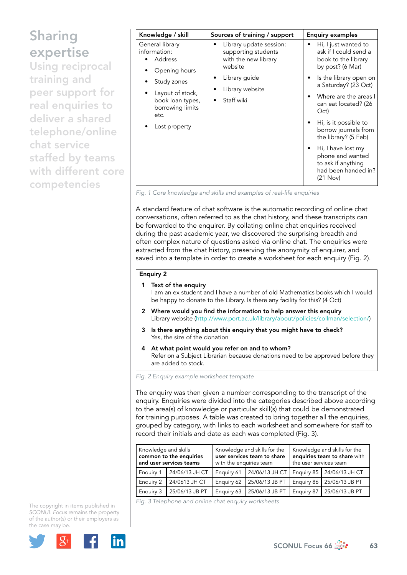Using reciprocal training and peer support for real enquiries to deliver a shared telephone/online chat service staffed by teams with different core competencies

| Knowledge / skill                                                                                                                                               | Sources of training / support                                                     | <b>Enquiry examples</b>                                                                                      |  |
|-----------------------------------------------------------------------------------------------------------------------------------------------------------------|-----------------------------------------------------------------------------------|--------------------------------------------------------------------------------------------------------------|--|
| General library<br>information:<br>Address<br>Opening hours<br>Study zones<br>Layout of stock,<br>book loan types,<br>borrowing limits<br>etc.<br>Lost property | Library update session:<br>supporting students<br>with the new library<br>website | Hi, I just wanted to<br>ask if I could send a<br>book to the library<br>by post? (6 Mar)                     |  |
|                                                                                                                                                                 | Library guide<br>Library website<br>Staff wiki                                    | Is the library open on<br>٠<br>a Saturday? (23 Oct)<br>Where are the areas I<br>can eat located? (26<br>Oct) |  |
|                                                                                                                                                                 |                                                                                   | Hi, is it possible to<br>borrow journals from<br>the library? (5 Feb)                                        |  |
|                                                                                                                                                                 |                                                                                   | Hi, I have lost my<br>phone and wanted<br>to ask if anything<br>had been handed in?<br>(21 Nov)              |  |

*Fig. 1 Core knowledge and skills and examples of real-life enquiries* 

A standard feature of chat software is the automatic recording of online chat conversations, often referred to as the chat history, and these transcripts can be forwarded to the enquirer. By collating online chat enquiries received during the past academic year, we discovered the surprising breadth and often complex nature of questions asked via online chat. The enquiries were extracted from the chat history, preserving the anonymity of enquirer, and saved into a template in order to create a worksheet for each enquiry (Fig. 2).

#### Enquiry 2

#### 1 Text of the enquiry

I am an ex student and I have a number of old Mathematics books which I would be happy to donate to the Library. Is there any facility for this? (4 Oct)

- 2 Where would you find the information to help answer this enquiry Library website (<http://www.port.ac.uk/library/about/policies/collman/selection/>)
- 3 Is there anything about this enquiry that you might have to check? Yes, the size of the donation
- 4 At what point would you refer on and to whom? Refer on a Subject Librarian because donations need to be approved before they are added to stock.

*Fig. 2 Enquiry example worksheet template*

The enquiry was then given a number corresponding to the transcript of the enquiry. Enquiries were divided into the categories described above according to the area(s) of knowledge or particular skill(s) that could be demonstrated for training purposes. A table was created to bring together all the enquiries, grouped by category, with links to each worksheet and somewhere for staff to record their initials and date as each was completed (Fig. 3).

| Knowledge and skills<br>common to the enquiries<br>and user services teams |                | Knowledge and skills for the<br>user services team to share<br>with the enquiries team |                | Knowledge and skills for the<br>enquiries team to share with<br>the user services team |                             |
|----------------------------------------------------------------------------|----------------|----------------------------------------------------------------------------------------|----------------|----------------------------------------------------------------------------------------|-----------------------------|
| <b>Enquiry 1</b>                                                           | 24/06/13 JH CT | Enguiry 61                                                                             | 24/06/13 JH CT |                                                                                        | Enquiry 85   24/06/13 JH CT |
| <b>Enquiry 2</b>                                                           | 24/0613 JH CT  | Enquiry 62                                                                             | 25/06/13 JB PT |                                                                                        | Enquiry 86   25/06/13 JB PT |
| <b>Enquiry 3</b>                                                           | 25/06/13 JB PT | Enquiry 63                                                                             | 25/06/13 JB PT | Enquiry 87                                                                             | 25/06/13 JB PT              |

*Fig. 3 Telephone and online chat enquiry worksheets* 

The copyright in items published in *SCONUL Focus* remains the property of the author(s) or their employers as the case may be.

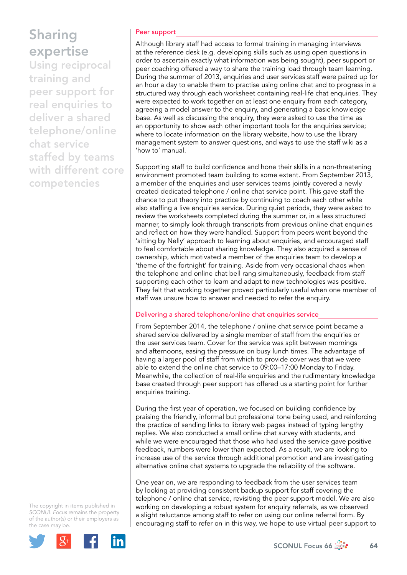Using reciprocal training and peer support for real enquiries to deliver a shared telephone/online chat service staffed by teams with different core competencies

### Peer support

Although library staff had access to formal training in managing interviews at the reference desk (e.g. developing skills such as using open questions in order to ascertain exactly what information was being sought), peer support or peer coaching offered a way to share the training load through team learning. During the summer of 2013, enquiries and user services staff were paired up for an hour a day to enable them to practise using online chat and to progress in a structured way through each worksheet containing real-life chat enquiries. They were expected to work together on at least one enquiry from each category, agreeing a model answer to the enquiry, and generating a basic knowledge base. As well as discussing the enquiry, they were asked to use the time as an opportunity to show each other important tools for the enquiries service; where to locate information on the library website, how to use the library management system to answer questions, and ways to use the staff wiki as a 'how to' manual.

Supporting staff to build confidence and hone their skills in a non-threatening environment promoted team building to some extent. From September 2013, a member of the enquiries and user services teams jointly covered a newly created dedicated telephone / online chat service point. This gave staff the chance to put theory into practice by continuing to coach each other while also staffing a live enquiries service. During quiet periods, they were asked to review the worksheets completed during the summer or, in a less structured manner, to simply look through transcripts from previous online chat enquiries and reflect on how they were handled. Support from peers went beyond the 'sitting by Nelly' approach to learning about enquiries, and encouraged staff to feel comfortable about sharing knowledge. They also acquired a sense of ownership, which motivated a member of the enquiries team to develop a 'theme of the fortnight' for training. Aside from very occasional chaos when the telephone and online chat bell rang simultaneously, feedback from staff supporting each other to learn and adapt to new technologies was positive. They felt that working together proved particularly useful when one member of staff was unsure how to answer and needed to refer the enquiry.

## Delivering a shared telephone/online chat enquiries service

From September 2014, the telephone / online chat service point became a shared service delivered by a single member of staff from the enquiries or the user services team. Cover for the service was split between mornings and afternoons, easing the pressure on busy lunch times. The advantage of having a larger pool of staff from which to provide cover was that we were able to extend the online chat service to 09:00–17:00 Monday to Friday. Meanwhile, the collection of real-life enquiries and the rudimentary knowledge base created through peer support has offered us a starting point for further enquiries training.

During the first year of operation, we focused on building confidence by praising the friendly, informal but professional tone being used, and reinforcing the practice of sending links to library web pages instead of typing lengthy replies. We also conducted a small online chat survey with students, and while we were encouraged that those who had used the service gave positive feedback, numbers were lower than expected. As a result, we are looking to increase use of the service through additional promotion and are investigating alternative online chat systems to upgrade the reliability of the software.

One year on, we are responding to feedback from the user services team by looking at providing consistent backup support for staff covering the telephone / online chat service, revisiting the peer support model. We are also working on developing a robust system for enquiry referrals, as we observed a slight reluctance among staff to refer on using our online referral form. By encouraging staff to refer on in this way, we hope to use virtual peer support to

The copyright in items published in *SCONUL Focus* remains the property of the author(s) or their employers as the case may be.